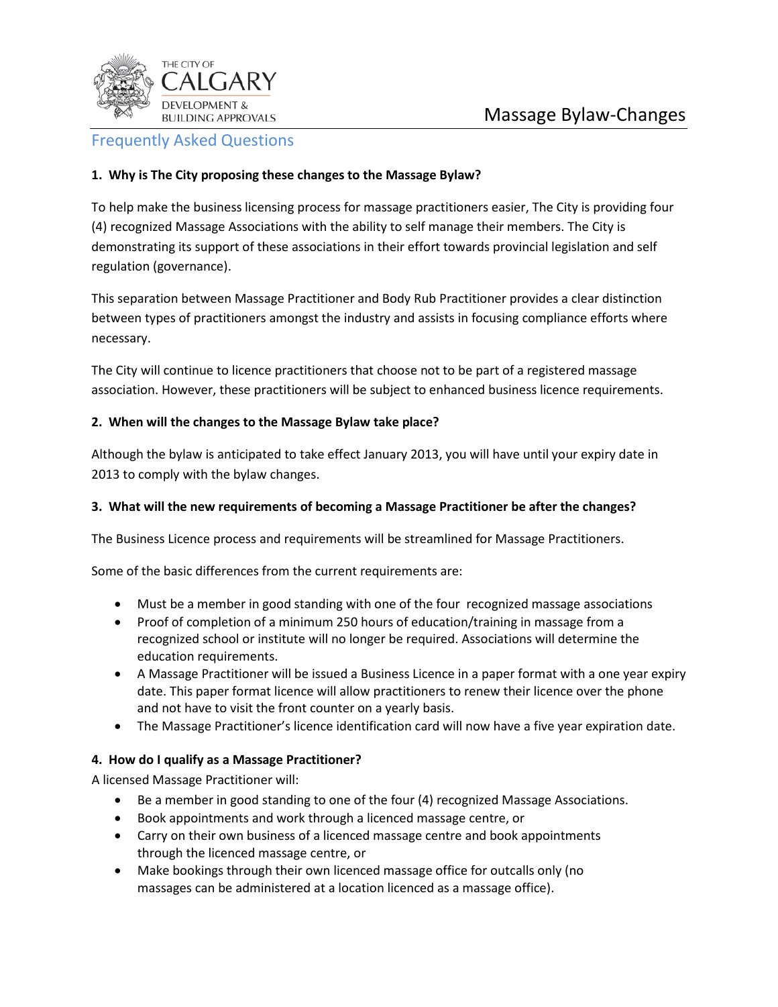

# Frequently Asked Questions

# **1. Why is The City proposing these changes to the Massage Bylaw?**

To help make the business licensing process for massage practitioners easier, The City is providing four (4) recognized Massage Associations with the ability to self manage their members. The City is demonstrating its support of these associations in their effort towards provincial legislation and self regulation (governance).

This separation between Massage Practitioner and Body Rub Practitioner provides a clear distinction between types of practitioners amongst the industry and assists in focusing compliance efforts where necessary.

The City will continue to licence practitioners that choose not to be part of a registered massage association. However, these practitioners will be subject to enhanced business licence requirements.

# **2. When will the changes to the Massage Bylaw take place?**

Although the bylaw is anticipated to take effect January 2013, you will have until your expiry date in 2013 to comply with the bylaw changes.

# **3. What will the new requirements of becoming a Massage Practitioner be after the changes?**

The Business Licence process and requirements will be streamlined for Massage Practitioners.

Some of the basic differences from the current requirements are:

- Must be a member in good standing with one of the four recognized massage associations
- Proof of completion of a minimum 250 hours of education/training in massage from a recognized school or institute will no longer be required. Associations will determine the education requirements.
- A Massage Practitioner will be issued a Business Licence in a paper format with a one year expiry date. This paper format licence will allow practitioners to renew their licence over the phone and not have to visit the front counter on a yearly basis.
- The Massage Practitioner's licence identification card will now have a five year expiration date.

# **4. How do I qualify as a Massage Practitioner?**

A licensed Massage Practitioner will:

- Be a member in good standing to one of the four (4) recognized Massage Associations.
- Book appointments and work through a licenced massage centre, or
- Carry on their own business of a licenced massage centre and book appointments through the licenced massage centre, or
- Make bookings through their own licenced massage office for outcalls only (no massages can be administered at a location licenced as a massage office).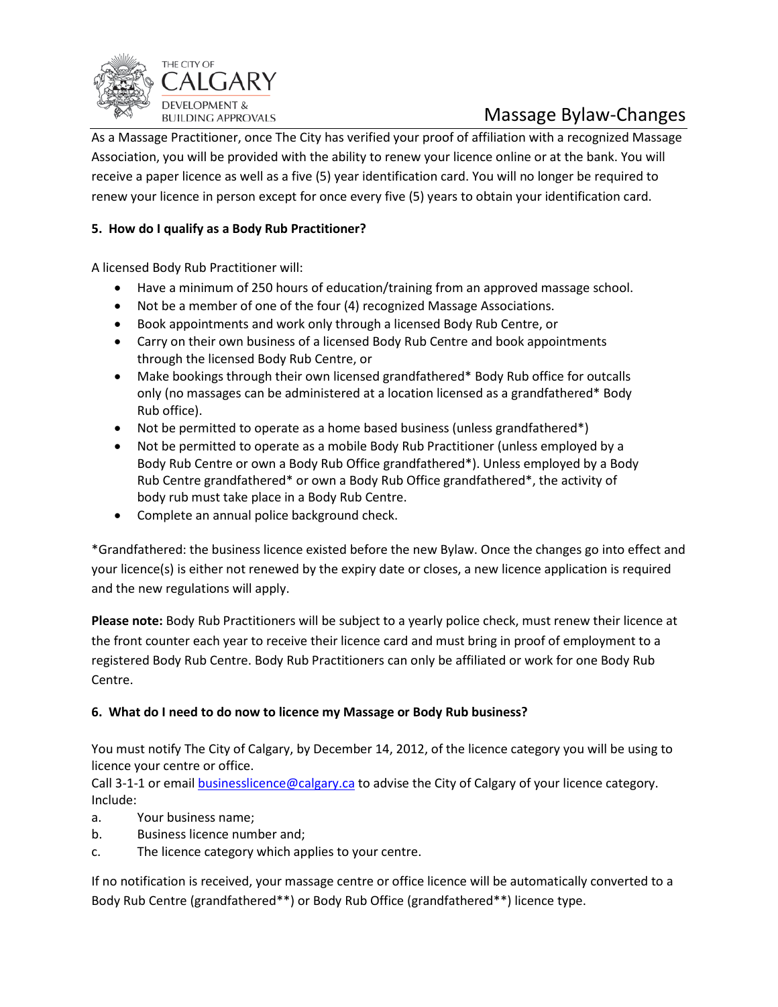

# Massage Bylaw-Changes

As a Massage Practitioner, once The City has verified your proof of affiliation with a recognized Massage Association, you will be provided with the ability to renew your licence online or at the bank. You will receive a paper licence as well as a five (5) year identification card. You will no longer be required to renew your licence in person except for once every five (5) years to obtain your identification card.

# **5. How do I qualify as a Body Rub Practitioner?**

A licensed Body Rub Practitioner will:

- Have a minimum of 250 hours of education/training from an approved massage school.
- Not be a member of one of the four (4) recognized Massage Associations.
- Book appointments and work only through a licensed Body Rub Centre, or
- Carry on their own business of a licensed Body Rub Centre and book appointments through the licensed Body Rub Centre, or
- Make bookings through their own licensed grandfathered\* Body Rub office for outcalls only (no massages can be administered at a location licensed as a grandfathered\* Body Rub office).
- Not be permitted to operate as a home based business (unless grandfathered\*)
- Not be permitted to operate as a mobile Body Rub Practitioner (unless employed by a Body Rub Centre or own a Body Rub Office grandfathered\*). Unless employed by a Body Rub Centre grandfathered\* or own a Body Rub Office grandfathered\*, the activity of body rub must take place in a Body Rub Centre.
- Complete an annual police background check.

\*Grandfathered: the business licence existed before the new Bylaw. Once the changes go into effect and your licence(s) is either not renewed by the expiry date or closes, a new licence application is required and the new regulations will apply.

**Please note:** Body Rub Practitioners will be subject to a yearly police check, must renew their licence at the front counter each year to receive their licence card and must bring in proof of employment to a registered Body Rub Centre. Body Rub Practitioners can only be affiliated or work for one Body Rub Centre.

# **6. What do I need to do now to licence my Massage or Body Rub business?**

You must notify The City of Calgary, by December 14, 2012, of the licence category you will be using to licence your centre or office.

Call 3-1-1 or email **businesslicence@calgary.ca** to advise the City of Calgary of your licence category. Include:

- a. Your business name;
- b. Business licence number and;
- c. The licence category which applies to your centre.

If no notification is received, your massage centre or office licence will be automatically converted to a Body Rub Centre (grandfathered\*\*) or Body Rub Office (grandfathered\*\*) licence type.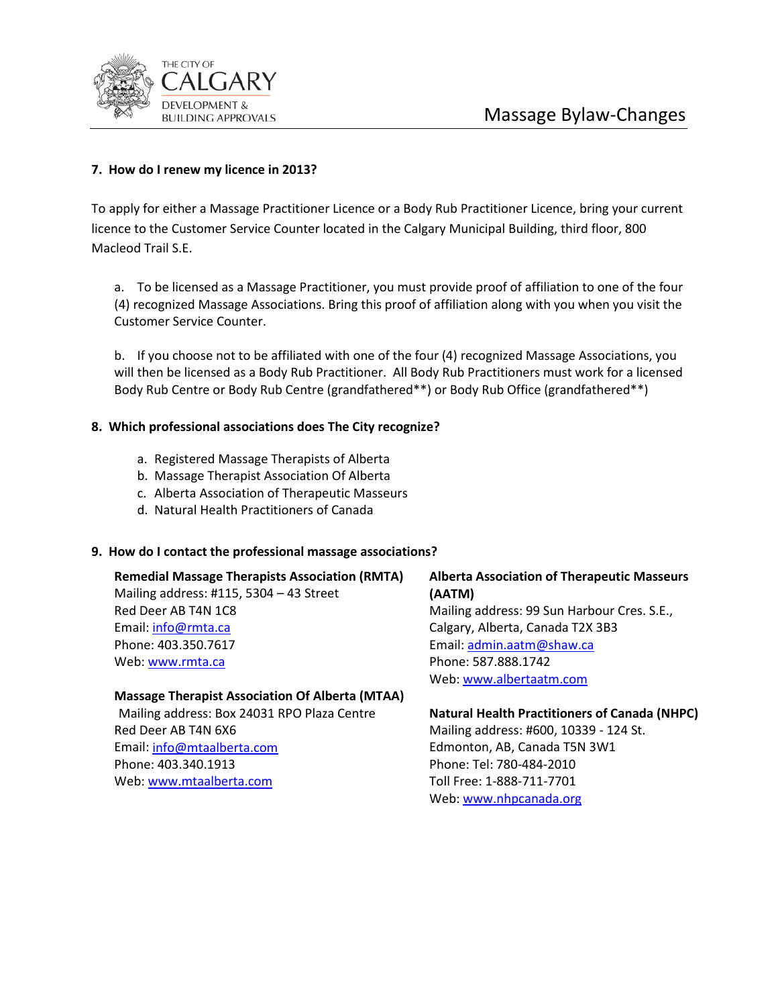

## **7. How do I renew my licence in 2013?**

To apply for either a Massage Practitioner Licence or a Body Rub Practitioner Licence, bring your current licence to the Customer Service Counter located in the Calgary Municipal Building, third floor, 800 Macleod Trail S.E.

a. To be licensed as a Massage Practitioner, you must provide proof of affiliation to one of the four (4) recognized Massage Associations. Bring this proof of affiliation along with you when you visit the Customer Service Counter.

b. If you choose not to be affiliated with one of the four (4) recognized Massage Associations, you will then be licensed as a Body Rub Practitioner. All Body Rub Practitioners must work for a licensed Body Rub Centre or Body Rub Centre (grandfathered\*\*) or Body Rub Office (grandfathered\*\*)

#### **8. Which professional associations does The City recognize?**

- a. Registered Massage Therapists of Alberta
- b. Massage Therapist Association Of Alberta
- c. Alberta Association of Therapeutic Masseurs
- d. Natural Health Practitioners of Canada

#### **9. How do I contact the professional massage associations?**

**Remedial Massage Therapists Association (RMTA)** Mailing address: #115, 5304 – 43 Street Red Deer AB T4N 1C8 Email: [info@rmta.ca](mailto:info@rmta.ca) Phone: 403.350.7617 Web[: www.rmta.ca](http://www.rmta.ca/) 

## **Alberta Association of Therapeutic Masseurs (AATM)**

Mailing address: 99 Sun Harbour Cres. S.E., Calgary, Alberta, Canada T2X 3B3 Email: [admin.aatm@shaw.ca](mailto:admin.aatm@shaw.ca)  Phone: 587.888.1742 Web[: www.albertaatm.com](http://www.albertaatm.com/) 

#### **Massage Therapist Association Of Alberta (MTAA)**

Mailing address: Box 24031 RPO Plaza Centre Red Deer AB T4N 6X6 Email: [info@mtaalberta.com](mailto:info@mtaalberta.com)  Phone: 403.340.1913 Web[: www.mtaalberta.com](http://www.mtaalberta.com/) 

# **Natural Health Practitioners of Canada (NHPC)**

Mailing address: #600, 10339 - 124 St. Edmonton, AB, Canada T5N 3W1 Phone: Tel: 780-484-2010 Toll Free: 1-888-711-7701 Web[: www.nhpcanada.org](http://www.nhpcanada.org/)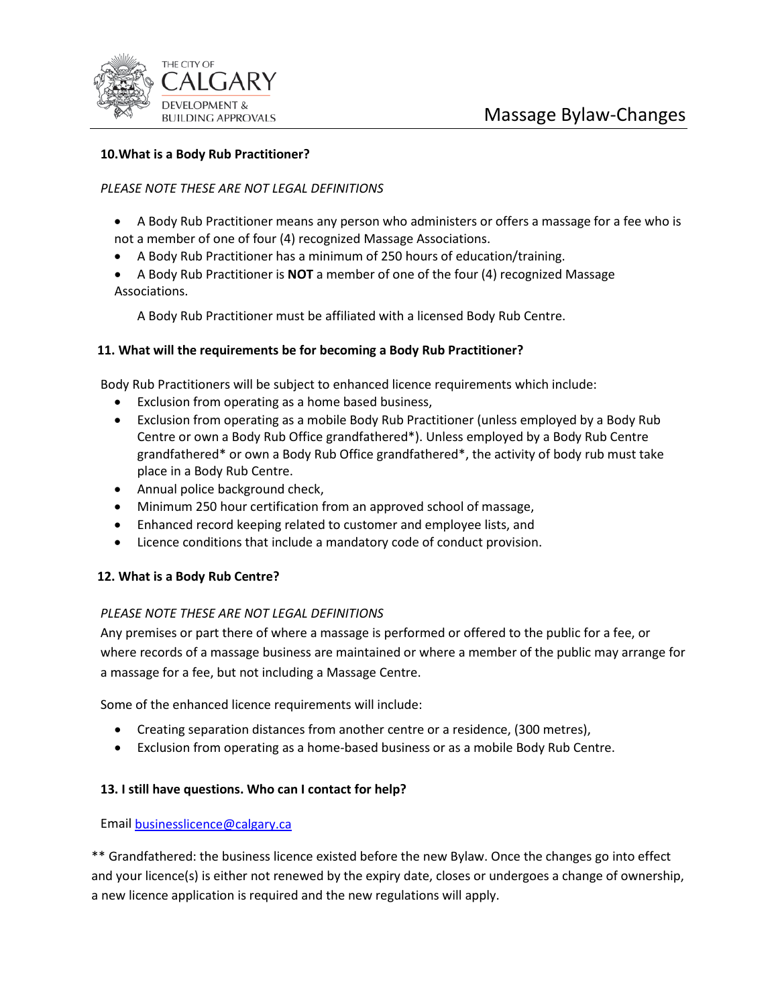

### **10.What is a Body Rub Practitioner?**

#### *PLEASE NOTE THESE ARE NOT LEGAL DEFINITIONS*

- A Body Rub Practitioner means any person who administers or offers a massage for a fee who is not a member of one of four (4) recognized Massage Associations.
- A Body Rub Practitioner has a minimum of 250 hours of education/training.
- A Body Rub Practitioner is **NOT** a member of one of the four (4) recognized Massage Associations.

A Body Rub Practitioner must be affiliated with a licensed Body Rub Centre.

#### **11. What will the requirements be for becoming a Body Rub Practitioner?**

Body Rub Practitioners will be subject to enhanced licence requirements which include:

- Exclusion from operating as a home based business,
- Exclusion from operating as a mobile Body Rub Practitioner (unless employed by a Body Rub Centre or own a Body Rub Office grandfathered\*). Unless employed by a Body Rub Centre grandfathered\* or own a Body Rub Office grandfathered\*, the activity of body rub must take place in a Body Rub Centre.
- Annual police background check,
- Minimum 250 hour certification from an approved school of massage,
- Enhanced record keeping related to customer and employee lists, and
- Licence conditions that include a mandatory code of conduct provision.

#### **12. What is a Body Rub Centre?**

#### *PLEASE NOTE THESE ARE NOT LEGAL DEFINITIONS*

Any premises or part there of where a massage is performed or offered to the public for a fee, or where records of a massage business are maintained or where a member of the public may arrange for a massage for a fee, but not including a Massage Centre.

Some of the enhanced licence requirements will include:

- Creating separation distances from another centre or a residence, (300 metres),
- Exclusion from operating as a home-based business or as a mobile Body Rub Centre.

#### **13. I still have questions. Who can I contact for help?**

Email [businesslicence@calgary.ca](mailto:businesslicence@calgary.ca)

\*\* Grandfathered: the business licence existed before the new Bylaw. Once the changes go into effect and your licence(s) is either not renewed by the expiry date, closes or undergoes a change of ownership, a new licence application is required and the new regulations will apply.